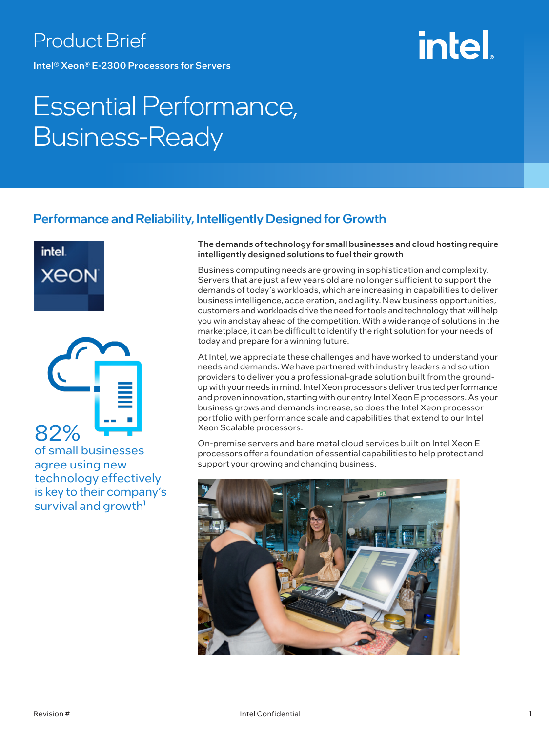### Product Brief

Intel® Xeon® E-2300 Processors for Servers

# **intel**

### Essential Performance, Business-Ready

### Performance and Reliability, Intelligently Designed for Growth





of small businesses agree using new technology effectively is key to their company's survival and growth<sup>1</sup>

The demands of technology for small businesses and cloud hosting require intelligently designed solutions to fuel their growth

Business computing needs are growing in sophistication and complexity. Servers that are just a few years old are no longer sufficient to support the demands of today's workloads, which are increasing in capabilities to deliver business intelligence, acceleration, and agility. New business opportunities, customers and workloads drive the need for tools and technology that will help you win and stay ahead of the competition. With a wide range of solutions in the marketplace, it can be difficult to identify the right solution for your needs of today and prepare for a winning future.

At Intel, we appreciate these challenges and have worked to understand your needs and demands. We have partnered with industry leaders and solution providers to deliver you a professional-grade solution built from the groundup with your needs in mind. Intel Xeon processors deliver trusted performance and proven innovation, starting with our entry Intel Xeon E processors. As your business grows and demands increase, so does the Intel Xeon processor portfolio with performance scale and capabilities that extend to our Intel Xeon Scalable processors.

On-premise servers and bare metal cloud services built on Intel Xeon E processors offer a foundation of essential capabilities to help protect and support your growing and changing business.

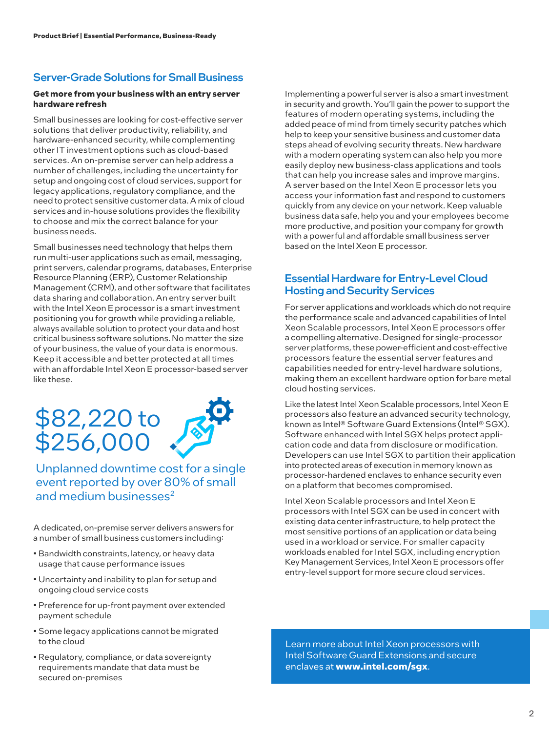#### Server-Grade Solutions for Small Business

#### **Get more from your business with an entry server hardware refresh**

Small businesses are looking for cost-effective server solutions that deliver productivity, reliability, and hardware-enhanced security, while complementing other IT investment options such as cloud-based services. An on-premise server can help address a number of challenges, including the uncertainty for setup and ongoing cost of cloud services, support for legacy applications, regulatory compliance, and the need to protect sensitive customer data. A mix of cloud services and in-house solutions provides the flexibility to choose and mix the correct balance for your business needs.

Small businesses need technology that helps them run multi-user applications such as email, messaging, print servers, calendar programs, databases, Enterprise Resource Planning (ERP), Customer Relationship Management (CRM), and other software that facilitates data sharing and collaboration. An entry server built with the Intel Xeon E processor is a smart investment positioning you for growth while providing a reliable, always available solution to protect your data and host critical business software solutions. No matter the size of your business, the value of your data is enormous. Keep it accessible and better protected at all times with an affordable Intel Xeon E processor-based server like these.

### \$82,220 to \$256,000

Unplanned downtime cost for a single event reported by over 80% of small and medium businesses<sup>2</sup>

A dedicated, on-premise server delivers answers for a number of small business customers including:

- Bandwidth constraints, latency, or heavy data usage that cause performance issues
- Uncertainty and inability to plan for setup and ongoing cloud service costs
- Preference for up-front payment over extended payment schedule
- Some legacy applications cannot be migrated to the cloud
- Regulatory, compliance, or data sovereignty requirements mandate that data must be secured on-premises

Implementing a powerful server is also a smart investment in security and growth. You'll gain the power to support the features of modern operating systems, including the added peace of mind from timely security patches which help to keep your sensitive business and customer data steps ahead of evolving security threats. New hardware with a modern operating system can also help you more easily deploy new business-class applications and tools that can help you increase sales and improve margins. A server based on the Intel Xeon E processor lets you access your information fast and respond to customers quickly from any device on your network. Keep valuable business data safe, help you and your employees become more productive, and position your company for growth with a powerful and affordable small business server based on the Intel Xeon E processor.

#### Essential Hardware for Entry-Level Cloud Hosting and Security Services

For server applications and workloads which do not require the performance scale and advanced capabilities of Intel Xeon Scalable processors, Intel Xeon E processors offer a compelling alternative. Designed for single-processor server platforms, these power-efficient and cost-effective processors feature the essential server features and capabilities needed for entry-level hardware solutions, making them an excellent hardware option for bare metal cloud hosting services.

Like the latest Intel Xeon Scalable processors, Intel Xeon E processors also feature an advanced security technology, known as Intel® Software Guard Extensions (Intel® SGX). Software enhanced with Intel SGX helps protect application code and data from disclosure or modification. Developers can use Intel SGX to partition their application into protected areas of execution in memory known as processor-hardened enclaves to enhance security even on a platform that becomes compromised.

Intel Xeon Scalable processors and Intel Xeon E processors with Intel SGX can be used in concert with existing data center infrastructure, to help protect the most sensitive portions of an application or data being used in a workload or service. For smaller capacity workloads enabled for Intel SGX, including encryption Key Management Services, Intel Xeon E processors offer entry-level support for more secure cloud services.

Learn more about Intel Xeon processors with Intel Software Guard Extensions and secure enclaves at **www.intel.com/sgx**.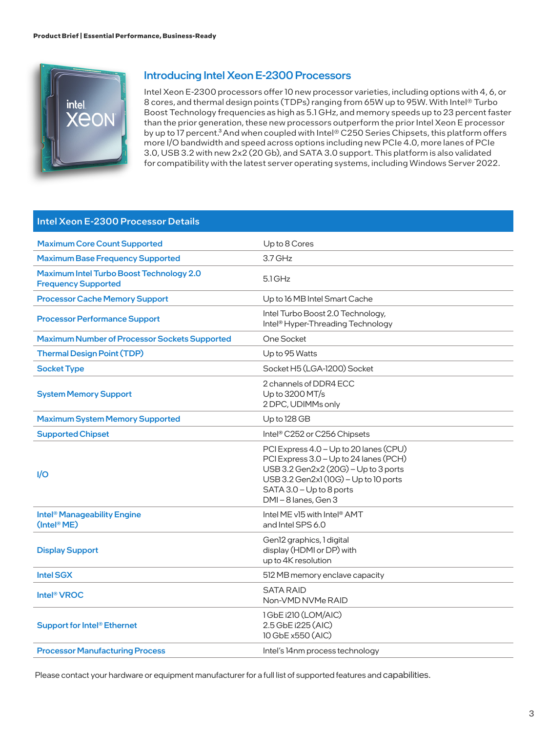

#### Introducing Intel Xeon E-2300 Processors

Intel Xeon E-2300 processors offer 10 new processor varieties, including options with 4, 6, or 8 cores, and thermal design points (TDPs) ranging from 65W up to 95W. With Intel® Turbo Boost Technology frequencies as high as 5.1 GHz, and memory speeds up to 23 percent faster than the prior generation, these new processors outperform the prior Intel Xeon E processor by up to 17 percent.<sup>3</sup> And when coupled with Intel® C250 Series Chipsets, this platform offers more I/O bandwidth and speed across options including new PCIe 4.0, more lanes of PCIe 3.0, USB 3.2 with new 2x2 (20 Gb), and SATA 3.0 support. This platform is also validated for compatibility with the latest server operating systems, including Windows Server 2022.

#### Intel Xeon E-2300 Processor Details

| <b>Maximum Core Count Supported</b>                                    | Up to 8 Cores                                                                                                                                                                                                       |
|------------------------------------------------------------------------|---------------------------------------------------------------------------------------------------------------------------------------------------------------------------------------------------------------------|
| <b>Maximum Base Frequency Supported</b>                                | $3.7$ GHz                                                                                                                                                                                                           |
| Maximum Intel Turbo Boost Technology 2.0<br><b>Frequency Supported</b> | $5.1$ GHz                                                                                                                                                                                                           |
| <b>Processor Cache Memory Support</b>                                  | Up to 16 MB Intel Smart Cache                                                                                                                                                                                       |
| <b>Processor Performance Support</b>                                   | Intel Turbo Boost 2.0 Technology,<br>Intel <sup>®</sup> Hyper-Threading Technology                                                                                                                                  |
| <b>Maximum Number of Processor Sockets Supported</b>                   | One Socket                                                                                                                                                                                                          |
| <b>Thermal Design Point (TDP)</b>                                      | Up to 95 Watts                                                                                                                                                                                                      |
| <b>Socket Type</b>                                                     | Socket H5 (LGA-1200) Socket                                                                                                                                                                                         |
| <b>System Memory Support</b>                                           | 2 channels of DDR4 ECC<br>Up to 3200 MT/s<br>2 DPC, UDIMMs only                                                                                                                                                     |
| <b>Maximum System Memory Supported</b>                                 | Up to 128 GB                                                                                                                                                                                                        |
| <b>Supported Chipset</b>                                               | Intel <sup>®</sup> C252 or C256 Chipsets                                                                                                                                                                            |
| 1/O                                                                    | PCI Express 4.0 - Up to 20 lanes (CPU)<br>PCI Express 3.0 - Up to 24 lanes (PCH)<br>USB 3.2 Gen2x2 (20G) - Up to 3 ports<br>USB 3.2 Gen2x1 (10G) - Up to 10 ports<br>SATA 3.0 - Up to 8 ports<br>DMI-8 lanes, Gen 3 |
| Intel <sup>®</sup> Manageability Engine<br>$($ Intel <sup>®</sup> ME)  | Intel ME v15 with Intel <sup>®</sup> AMT<br>and Intel SPS 6.0                                                                                                                                                       |
| <b>Display Support</b>                                                 | Gen12 graphics, 1 digital<br>display (HDMI or DP) with<br>up to 4K resolution                                                                                                                                       |
| <b>Intel SGX</b>                                                       | 512 MB memory enclave capacity                                                                                                                                                                                      |
| Intel <sup>®</sup> VROC                                                | <b>SATA RAID</b><br>Non-VMD NVMe RAID                                                                                                                                                                               |
| Support for Intel <sup>®</sup> Ethernet                                | 1 GbE i210 (LOM/AIC)<br>2.5 GbE i225 (AIC)<br>10 GbE x550 (AIC)                                                                                                                                                     |
| <b>Processor Manufacturing Process</b>                                 | Intel's 14nm process technology                                                                                                                                                                                     |

Please contact your hardware or equipment manufacturer for a full list of supported features and capabilities.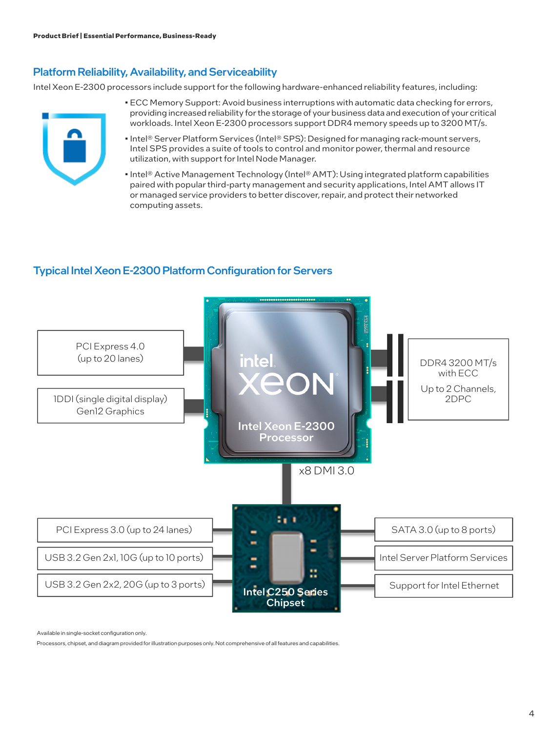#### Platform Reliability, Availability, and Serviceability

Intel Xeon E-2300 processors include support for the following hardware-enhanced reliability features, including:

- ECC Memory Support: Avoid business interruptions with automatic data checking for errors, providing increased reliability for the storage of your business data and execution of your critical workloads. Intel Xeon E-2300 processors support DDR4 memory speeds up to 3200 MT/s.
- Intel® Server Platform Services (Intel® SPS): Designed for managing rack-mount servers, Intel SPS provides a suite of tools to control and monitor power, thermal and resource utilization, with support for Intel Node Manager.
- Intel® Active Management Technology (Intel® AMT): Using integrated platform capabilities paired with popular third-party management and security applications, Intel AMT allows IT or managed service providers to better discover, repair, and protect their networked computing assets.

### Typical Intel Xeon E-2300 Platform Configuration for Servers



Available in single-socket configuration only.

Processors, chipset, and diagram provided for illustration purposes only. Not comprehensive of all features and capabilities.